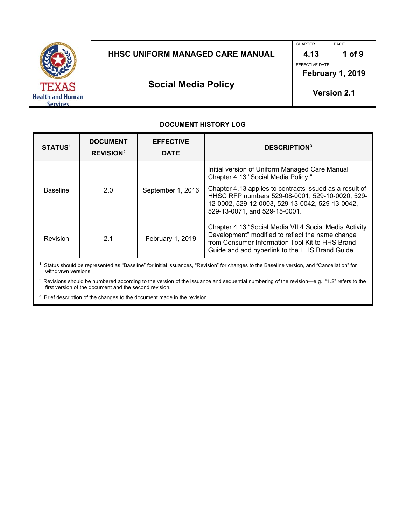

## HHSC UNIFORM MANAGED CARE MANUAL | 4.13 | 1 of 9

CHAPTER PAGE

EFFECTIVE DATE

**February 1, 2019** 

**Social Media Policy** 

**Version 2.1**

#### **DOCUMENT HISTORY LOG**

| <b>STATUS<sup>1</sup></b> | <b>DOCUMENT</b><br><b>REVISION</b> <sup>2</sup> | <b>EFFECTIVE</b><br><b>DATE</b> | <b>DESCRIPTION3</b>                                                                                                                                                                                              |
|---------------------------|-------------------------------------------------|---------------------------------|------------------------------------------------------------------------------------------------------------------------------------------------------------------------------------------------------------------|
| <b>Baseline</b>           | 2.0                                             | September 1, 2016               | Initial version of Uniform Managed Care Manual<br>Chapter 4.13 "Social Media Policy."                                                                                                                            |
|                           |                                                 |                                 | Chapter 4.13 applies to contracts issued as a result of<br>HHSC RFP numbers 529-08-0001, 529-10-0020, 529-<br>12-0002, 529-12-0003, 529-13-0042, 529-13-0042,<br>529-13-0071, and 529-15-0001.                   |
| Revision                  | 2.1                                             | February 1, 2019                | Chapter 4.13 "Social Media VII.4 Social Media Activity<br>Development" modified to reflect the name change<br>from Consumer Information Tool Kit to HHS Brand<br>Guide and add hyperlink to the HHS Brand Guide. |

**1** Status should be represented as "Baseline" for initial issuances, "Revision" for changes to the Baseline version, and "Cancellation" for withdrawn versions

<sup>2</sup> Revisions should be numbered according to the version of the issuance and sequential numbering of the revision—e.g., "1.2" refers to the first version of the document and the second revision.

<sup>3</sup> Brief description of the changes to the document made in the revision.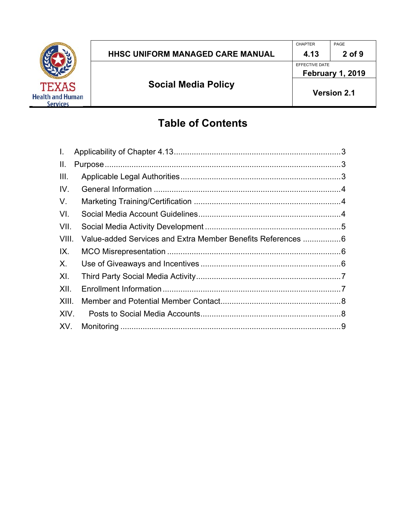

EFFECTIVE DATE

# **Table of Contents**

| Ι.    |                                                             |  |
|-------|-------------------------------------------------------------|--|
| II.   |                                                             |  |
| III.  |                                                             |  |
| IV.   |                                                             |  |
| V.    |                                                             |  |
| VI.   |                                                             |  |
| VII.  |                                                             |  |
| VIII. | Value-added Services and Extra Member Benefits References 6 |  |
| IX.   |                                                             |  |
| X.    |                                                             |  |
| XI.   |                                                             |  |
| XII.  |                                                             |  |
| XIII. |                                                             |  |
| XIV.  |                                                             |  |
| XV.   |                                                             |  |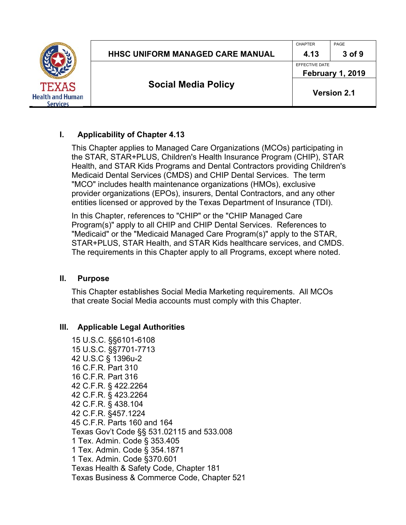|                                            |                                         | <b>CHAPTER</b>     | PAGE                    |  |
|--------------------------------------------|-----------------------------------------|--------------------|-------------------------|--|
|                                            | <b>HHSC UNIFORM MANAGED CARE MANUAL</b> | 4.13               | 3 of 9                  |  |
|                                            |                                         | EFFECTIVE DATE     |                         |  |
|                                            |                                         |                    | <b>February 1, 2019</b> |  |
| <b>TEXAS</b>                               | <b>Social Media Policy</b>              | <b>Version 2.1</b> |                         |  |
| <b>Health and Human</b><br><b>Services</b> |                                         |                    |                         |  |

#### **I. Applicability of Chapter 4.13**

This Chapter applies to Managed Care Organizations (MCOs) participating in the STAR, STAR+PLUS, Children's Health Insurance Program (CHIP), STAR Health, and STAR Kids Programs and Dental Contractors providing Children's Medicaid Dental Services (CMDS) and CHIP Dental Services. The term "MCO" includes health maintenance organizations (HMOs), exclusive provider organizations (EPOs), insurers, Dental Contractors, and any other entities licensed or approved by the Texas Department of Insurance (TDI).

In this Chapter, references to "CHIP" or the "CHIP Managed Care Program(s)" apply to all CHIP and CHIP Dental Services. References to "Medicaid" or the "Medicaid Managed Care Program(s)" apply to the STAR, STAR+PLUS, STAR Health, and STAR Kids healthcare services, and CMDS. The requirements in this Chapter apply to all Programs, except where noted.

#### **II. Purpose**

This Chapter establishes Social Media Marketing requirements. All MCOs that create Social Media accounts must comply with this Chapter.

#### **III. Applicable Legal Authorities**

15 U.S.C. §§6101-6108 15 U.S.C. §§7701-7713 42 U.S.C § 1396u-2 16 C.F.R. Part 310 16 C.F.R. Part 316 42 C.F.R. § 422.2264 42 C.F.R. § 423.2264 42 C.F.R. § 438.104 42 C.F.R. §457.1224 45 C.F.R. Parts 160 and 164 Texas Gov't Code §§ 531.02115 and 533.008 1 Tex. Admin. Code § 353.405 1 Tex. Admin. Code § 354.1871 1 Tex. Admin. Code §370.601 Texas Health & Safety Code, Chapter 181 Texas Business & Commerce Code, Chapter 521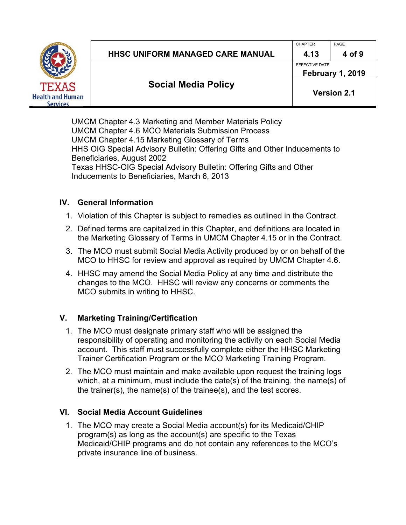

## HHSC UNIFORM MANAGED CARE MANUAL  $\parallel$  4.13  $\parallel$  4 of 9

CHAPTER PAGE

EFFECTIVE DATE

**Social Media Policy** 

**Version 2.1**

**February 1, 2019** 

UMCM Chapter 4.3 Marketing and Member Materials Policy UMCM Chapter 4.6 MCO Materials Submission Process UMCM Chapter 4.15 Marketing Glossary of Terms HHS OIG Special Advisory Bulletin: Offering Gifts and Other Inducements to Beneficiaries, August 2002 Texas HHSC-OIG Special Advisory Bulletin: Offering Gifts and Other Inducements to Beneficiaries, March 6, 2013

## **IV. General Information**

- 1. Violation of this Chapter is subject to remedies as outlined in the Contract.
- 2. Defined terms are capitalized in this Chapter, and definitions are located in the Marketing Glossary of Terms in UMCM Chapter 4.15 or in the Contract.
- 3. The MCO must submit Social Media Activity produced by or on behalf of the MCO to HHSC for review and approval as required by UMCM Chapter 4.6.
- 4. HHSC may amend the Social Media Policy at any time and distribute the changes to the MCO. HHSC will review any concerns or comments the MCO submits in writing to HHSC.

# **V. Marketing Training/Certification**

- 1. The MCO must designate primary staff who will be assigned the responsibility of operating and monitoring the activity on each Social Media account. This staff must successfully complete either the HHSC Marketing Trainer Certification Program or the MCO Marketing Training Program.
- 2. The MCO must maintain and make available upon request the training logs which, at a minimum, must include the date(s) of the training, the name(s) of the trainer(s), the name(s) of the trainee(s), and the test scores.

# **VI. Social Media Account Guidelines**

1. The MCO may create a Social Media account(s) for its Medicaid/CHIP program(s) as long as the account(s) are specific to the Texas Medicaid/CHIP programs and do not contain any references to the MCO's private insurance line of business.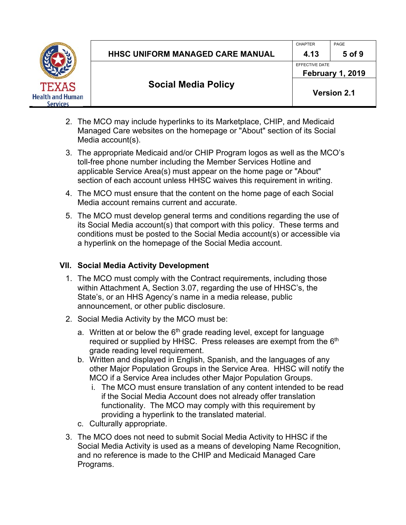

EFFECTIVE DATE

**February 1, 2019** 

- 2. The MCO may include hyperlinks to its Marketplace, CHIP, and Medicaid Managed Care websites on the homepage or "About" section of its Social Media account(s).
- 3. The appropriate Medicaid and/or CHIP Program logos as well as the MCO's toll-free phone number including the Member Services Hotline and applicable Service Area(s) must appear on the home page or "About" section of each account unless HHSC waives this requirement in writing.
- 4. The MCO must ensure that the content on the home page of each Social Media account remains current and accurate.
- 5. The MCO must develop general terms and conditions regarding the use of its Social Media account(s) that comport with this policy. These terms and conditions must be posted to the Social Media account(s) or accessible via a hyperlink on the homepage of the Social Media account.

# **VII. Social Media Activity Development**

- 1. The MCO must comply with the Contract requirements, including those within Attachment A, Section 3.07, regarding the use of HHSC's, the State's, or an HHS Agency's name in a media release, public announcement, or other public disclosure.
- 2. Social Media Activity by the MCO must be:
	- a. Written at or below the  $6<sup>th</sup>$  grade reading level, except for language required or supplied by HHSC. Press releases are exempt from the 6<sup>th</sup> grade reading level requirement.
	- b. Written and displayed in English, Spanish, and the languages of any other Major Population Groups in the Service Area. HHSC will notify the MCO if a Service Area includes other Major Population Groups.
		- i. The MCO must ensure translation of any content intended to be read if the Social Media Account does not already offer translation functionality. The MCO may comply with this requirement by providing a hyperlink to the translated material.
	- c. Culturally appropriate.
- 3. The MCO does not need to submit Social Media Activity to HHSC if the Social Media Activity is used as a means of developing Name Recognition, and no reference is made to the CHIP and Medicaid Managed Care Programs.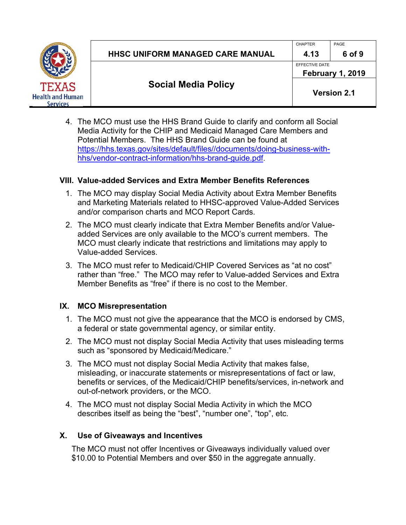

CHAPTER PAGE

EFFECTIVE DATE

**Social Media Policy** 

**Version 2.1**

**February 1, 2019** 

4. The MCO must use the HHS Brand Guide to clarify and conform all Social Media Activity for the CHIP and Medicaid Managed Care Members and Potential Members. The HHS Brand Guide can be found at https://hhs.texas.gov/sites/default/files//documents/doing-business-withhhs/vendor-contract-information/hhs-brand-guide.pdf.

## **VIII. Value-added Services and Extra Member Benefits References**

- 1. The MCO may display Social Media Activity about Extra Member Benefits and Marketing Materials related to HHSC-approved Value-Added Services and/or comparison charts and MCO Report Cards.
- 2. The MCO must clearly indicate that Extra Member Benefits and/or Valueadded Services are only available to the MCO's current members. The MCO must clearly indicate that restrictions and limitations may apply to Value-added Services.
- 3. The MCO must refer to Medicaid/CHIP Covered Services as "at no cost" rather than "free." The MCO may refer to Value-added Services and Extra Member Benefits as "free" if there is no cost to the Member.

# **IX. MCO Misrepresentation**

- 1. The MCO must not give the appearance that the MCO is endorsed by CMS, a federal or state governmental agency, or similar entity.
- 2. The MCO must not display Social Media Activity that uses misleading terms such as "sponsored by Medicaid/Medicare."
- 3. The MCO must not display Social Media Activity that makes false, misleading, or inaccurate statements or misrepresentations of fact or law, benefits or services, of the Medicaid/CHIP benefits/services, in-network and out-of-network providers, or the MCO.
- 4. The MCO must not display Social Media Activity in which the MCO describes itself as being the "best", "number one", "top", etc.

# **X. Use of Giveaways and Incentives**

The MCO must not offer Incentives or Giveaways individually valued over \$10.00 to Potential Members and over \$50 in the aggregate annually.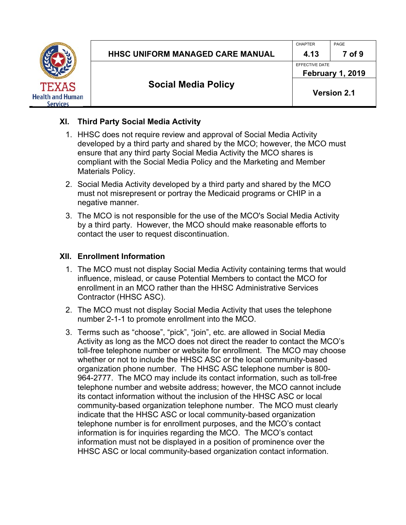

CHAPTER PAGE

EFFECTIVE DATE **February 1, 2019** 

# **Social Media Policy**

**Version 2.1**

## **XI. Third Party Social Media Activity**

- 1. HHSC does not require review and approval of Social Media Activity developed by a third party and shared by the MCO; however, the MCO must ensure that any third party Social Media Activity the MCO shares is compliant with the Social Media Policy and the Marketing and Member Materials Policy.
- 2. Social Media Activity developed by a third party and shared by the MCO must not misrepresent or portray the Medicaid programs or CHIP in a negative manner.
- 3. The MCO is not responsible for the use of the MCO's Social Media Activity by a third party. However, the MCO should make reasonable efforts to contact the user to request discontinuation.

## **XII. Enrollment Information**

- 1. The MCO must not display Social Media Activity containing terms that would influence, mislead, or cause Potential Members to contact the MCO for enrollment in an MCO rather than the HHSC Administrative Services Contractor (HHSC ASC).
- 2. The MCO must not display Social Media Activity that uses the telephone number 2-1-1 to promote enrollment into the MCO.
- 3. Terms such as "choose", "pick", "join", etc. are allowed in Social Media Activity as long as the MCO does not direct the reader to contact the MCO's toll-free telephone number or website for enrollment. The MCO may choose whether or not to include the HHSC ASC or the local community-based organization phone number. The HHSC ASC telephone number is 800- 964-2777. The MCO may include its contact information, such as toll-free telephone number and website address; however, the MCO cannot include its contact information without the inclusion of the HHSC ASC or local community-based organization telephone number. The MCO must clearly indicate that the HHSC ASC or local community-based organization telephone number is for enrollment purposes, and the MCO's contact information is for inquiries regarding the MCO. The MCO's contact information must not be displayed in a position of prominence over the HHSC ASC or local community-based organization contact information.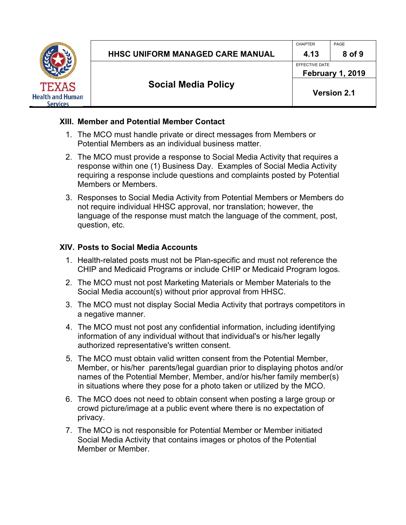

EFFECTIVE DATE **February 1, 2019** 

# **Social Media Policy**

#### **XIII. Member and Potential Member Contact**

- 1. The MCO must handle private or direct messages from Members or Potential Members as an individual business matter.
- 2. The MCO must provide a response to Social Media Activity that requires a response within one (1) Business Day. Examples of Social Media Activity requiring a response include questions and complaints posted by Potential Members or Members.
- 3. Responses to Social Media Activity from Potential Members or Members do not require individual HHSC approval, nor translation; however, the language of the response must match the language of the comment, post, question, etc.

#### **XIV. Posts to Social Media Accounts**

- 1. Health-related posts must not be Plan-specific and must not reference the CHIP and Medicaid Programs or include CHIP or Medicaid Program logos.
- 2. The MCO must not post Marketing Materials or Member Materials to the Social Media account(s) without prior approval from HHSC.
- 3. The MCO must not display Social Media Activity that portrays competitors in a negative manner.
- 4. The MCO must not post any confidential information, including identifying information of any individual without that individual's or his/her legally authorized representative's written consent.
- 5. The MCO must obtain valid written consent from the Potential Member, Member, or his/her parents/legal guardian prior to displaying photos and/or names of the Potential Member, Member, and/or his/her family member(s) in situations where they pose for a photo taken or utilized by the MCO.
- 6. The MCO does not need to obtain consent when posting a large group or crowd picture/image at a public event where there is no expectation of privacy.
- 7. The MCO is not responsible for Potential Member or Member initiated Social Media Activity that contains images or photos of the Potential Member or Member.